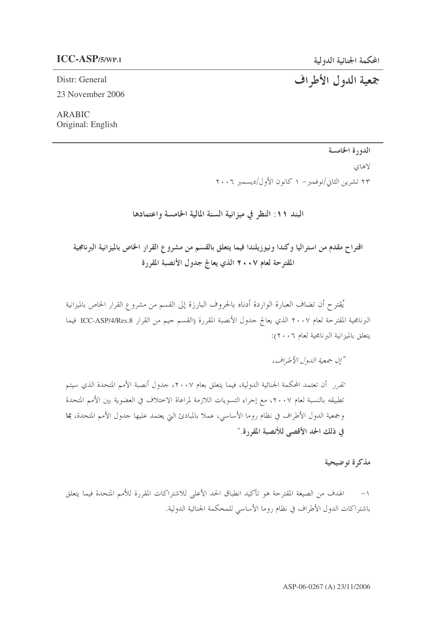جمعية الدول الأطراف

## **ICC-ASP/5/WP.1** -

Distr: General 23 November 2006

ARABIC Original: English

الدورة الخامسة

لاهاي

۲۳ تشرین الثانی/نوفمبر– ۱ کانون الأول/دیسمبر ۲۰۰٦

البند ١١: النظر في ميزانية السنة المالية الخامسة واعتمادها

اقتراح مقدم من استراليا وكندا ونيوزيلندا فيما يتعلق بالقسم من مشروع القرار الخاص بالميزانية البرنامجية المقترحة لعام ٢٠٠٧ الذي يعالج جدول الأنصبة المقررة

يُقترح أن تضاف العبارة الواردة أدناه بالحروف البارزة إلى القسم من مشروع القرار الخاص بالميزانية البرنامجية المقترحة لعام ٢٠٠٧ الذي يعالج حدول الأنصبة المقررة (القسم حيم من القرار ICC-ASP/4/Res.8 فيما يتعلق بالميزانية البرنامجية لعام ٢٠٠٦):

"إن جمعية الدول الأطراف،

تقرر أن تعتمد المحكمة الجنائية الدولية، فيما يتعلق بعام ٢٠٠٧، حدول أنصبة الأمم المتحدة الذي سيتم تطبيقه بالنسبة لعام ٢٠٠٧، مع إحراء التسويات اللازمة لمراعاة الاختلاف في العضوية بين الأمم المتحدة وجمعية الدول الأطراف في نظام روما الأساسي، عملا بالمبادئ التي يعتمد عليها حدول الأمم المتحدة، بما في ذلك الحد الأقصى للأنصبة المقررة."

مذكرة توضيحية

١– الهدف من الصيغة المقترحة هو تأكيد انطباق الحد الأعلى للاشتراكات المقررة للأمم المتحدة فيما يتعلق باشتراكات الدول الأطراف في نظام روما الأساسي للمحكمة الجنائية الدولية.